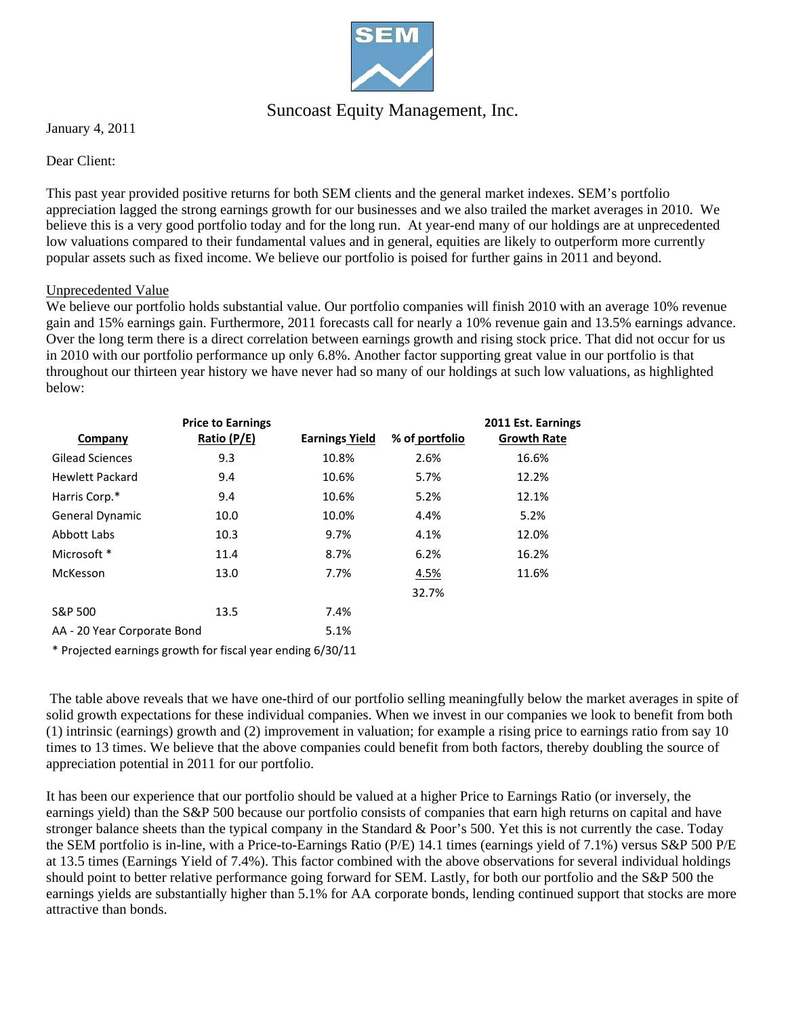

## Suncoast Equity Management, Inc.

January 4, 2011

### Dear Client:

This past year provided positive returns for both SEM clients and the general market indexes. SEM's portfolio appreciation lagged the strong earnings growth for our businesses and we also trailed the market averages in 2010. We believe this is a very good portfolio today and for the long run. At year-end many of our holdings are at unprecedented low valuations compared to their fundamental values and in general, equities are likely to outperform more currently popular assets such as fixed income. We believe our portfolio is poised for further gains in 2011 and beyond.

#### Unprecedented Value

We believe our portfolio holds substantial value. Our portfolio companies will finish 2010 with an average 10% revenue gain and 15% earnings gain. Furthermore, 2011 forecasts call for nearly a 10% revenue gain and 13.5% earnings advance. Over the long term there is a direct correlation between earnings growth and rising stock price. That did not occur for us in 2010 with our portfolio performance up only 6.8%. Another factor supporting great value in our portfolio is that throughout our thirteen year history we have never had so many of our holdings at such low valuations, as highlighted below:

|                             | <b>Price to Earnings</b> |                       |                | 2011 Est. Earnings |
|-----------------------------|--------------------------|-----------------------|----------------|--------------------|
| Company                     | Ratio (P/E)              | <b>Earnings Yield</b> | % of portfolio | <b>Growth Rate</b> |
| <b>Gilead Sciences</b>      | 9.3                      | 10.8%                 | 2.6%           | 16.6%              |
| <b>Hewlett Packard</b>      | 9.4                      | 10.6%                 | 5.7%           | 12.2%              |
| Harris Corp.*               | 9.4                      | 10.6%                 | 5.2%           | 12.1%              |
| <b>General Dynamic</b>      | 10.0                     | 10.0%                 | 4.4%           | 5.2%               |
| Abbott Labs                 | 10.3                     | 9.7%                  | 4.1%           | 12.0%              |
| Microsoft *                 | 11.4                     | 8.7%                  | 6.2%           | 16.2%              |
| McKesson                    | 13.0                     | 7.7%                  | 4.5%           | 11.6%              |
|                             |                          |                       | 32.7%          |                    |
| S&P 500                     | 13.5                     | 7.4%                  |                |                    |
| AA - 20 Year Corporate Bond |                          | 5.1%                  |                |                    |

\* Projected earnings growth for fiscal year ending 6/30/11

 The table above reveals that we have one-third of our portfolio selling meaningfully below the market averages in spite of solid growth expectations for these individual companies. When we invest in our companies we look to benefit from both (1) intrinsic (earnings) growth and (2) improvement in valuation; for example a rising price to earnings ratio from say 10 times to 13 times. We believe that the above companies could benefit from both factors, thereby doubling the source of appreciation potential in 2011 for our portfolio.

It has been our experience that our portfolio should be valued at a higher Price to Earnings Ratio (or inversely, the earnings yield) than the S&P 500 because our portfolio consists of companies that earn high returns on capital and have stronger balance sheets than the typical company in the Standard & Poor's 500. Yet this is not currently the case. Today the SEM portfolio is in-line, with a Price-to-Earnings Ratio (P/E) 14.1 times (earnings yield of 7.1%) versus S&P 500 P/E at 13.5 times (Earnings Yield of 7.4%). This factor combined with the above observations for several individual holdings should point to better relative performance going forward for SEM. Lastly, for both our portfolio and the S&P 500 the earnings yields are substantially higher than 5.1% for AA corporate bonds, lending continued support that stocks are more attractive than bonds.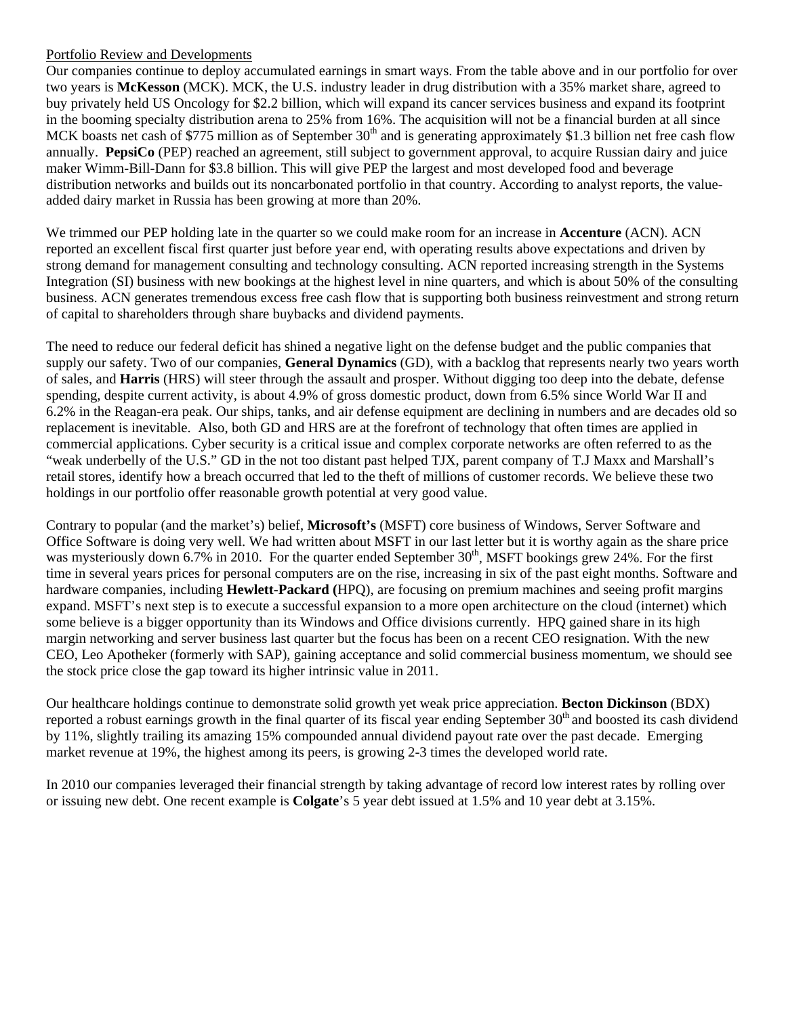### Portfolio Review and Developments

Our companies continue to deploy accumulated earnings in smart ways. From the table above and in our portfolio for over two years is **McKesson** (MCK). MCK, the U.S. industry leader in drug distribution with a 35% market share, agreed to buy privately held US Oncology for \$2.2 billion, which will expand its cancer services business and expand its footprint in the booming specialty distribution arena to 25% from 16%. The acquisition will not be a financial burden at all since MCK boasts net cash of \$775 million as of September  $30<sup>th</sup>$  and is generating approximately \$1.3 billion net free cash flow annually. **PepsiCo** (PEP) reached an agreement, still subject to government approval, to acquire Russian dairy and juice maker Wimm-Bill-Dann for \$3.8 billion. This will give PEP the largest and most developed food and beverage distribution networks and builds out its noncarbonated portfolio in that country. According to analyst reports, the valueadded dairy market in Russia has been growing at more than 20%.

We trimmed our PEP holding late in the quarter so we could make room for an increase in **Accenture** (ACN). ACN reported an excellent fiscal first quarter just before year end, with operating results above expectations and driven by strong demand for management consulting and technology consulting. ACN reported increasing strength in the Systems Integration (SI) business with new bookings at the highest level in nine quarters, and which is about 50% of the consulting business. ACN generates tremendous excess free cash flow that is supporting both business reinvestment and strong return of capital to shareholders through share buybacks and dividend payments.

The need to reduce our federal deficit has shined a negative light on the defense budget and the public companies that supply our safety. Two of our companies, **General Dynamics** (GD), with a backlog that represents nearly two years worth of sales, and **Harris** (HRS) will steer through the assault and prosper. Without digging too deep into the debate, defense spending, despite current activity, is about 4.9% of gross domestic product, down from 6.5% since World War II and 6.2% in the Reagan-era peak. Our ships, tanks, and air defense equipment are declining in numbers and are decades old so replacement is inevitable. Also, both GD and HRS are at the forefront of technology that often times are applied in commercial applications. Cyber security is a critical issue and complex corporate networks are often referred to as the "weak underbelly of the U.S." GD in the not too distant past helped TJX, parent company of T.J Maxx and Marshall's retail stores, identify how a breach occurred that led to the theft of millions of customer records. We believe these two holdings in our portfolio offer reasonable growth potential at very good value.

Contrary to popular (and the market's) belief, **Microsoft's** (MSFT) core business of Windows, Server Software and Office Software is doing very well. We had written about MSFT in our last letter but it is worthy again as the share price was mysteriously down 6.7% in 2010. For the quarter ended September  $30<sup>th</sup>$ , MSFT bookings grew 24%. For the first time in several years prices for personal computers are on the rise, increasing in six of the past eight months. Software and hardware companies, including **Hewlett-Packard (**HPQ), are focusing on premium machines and seeing profit margins expand. MSFT's next step is to execute a successful expansion to a more open architecture on the cloud (internet) which some believe is a bigger opportunity than its Windows and Office divisions currently. HPQ gained share in its high margin networking and server business last quarter but the focus has been on a recent CEO resignation. With the new CEO, Leo Apotheker (formerly with SAP), gaining acceptance and solid commercial business momentum, we should see the stock price close the gap toward its higher intrinsic value in 2011.

Our healthcare holdings continue to demonstrate solid growth yet weak price appreciation. **Becton Dickinson** (BDX) reported a robust earnings growth in the final quarter of its fiscal year ending September 30<sup>th</sup> and boosted its cash dividend by 11%, slightly trailing its amazing 15% compounded annual dividend payout rate over the past decade. Emerging market revenue at 19%, the highest among its peers, is growing 2-3 times the developed world rate.

In 2010 our companies leveraged their financial strength by taking advantage of record low interest rates by rolling over or issuing new debt. One recent example is **Colgate**'s 5 year debt issued at 1.5% and 10 year debt at 3.15%.